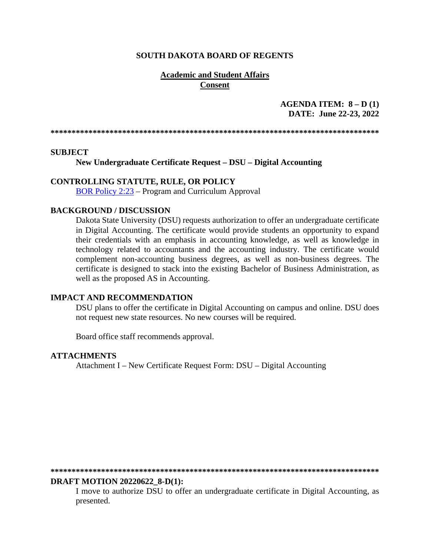### **SOUTH DAKOTA BOARD OF REGENTS**

### **Academic and Student Affairs Consent**

## **AGENDA ITEM: 8 – D (1) DATE: June 22-23, 2022**

**\*\*\*\*\*\*\*\*\*\*\*\*\*\*\*\*\*\*\*\*\*\*\*\*\*\*\*\*\*\*\*\*\*\*\*\*\*\*\*\*\*\*\*\*\*\*\*\*\*\*\*\*\*\*\*\*\*\*\*\*\*\*\*\*\*\*\*\*\*\*\*\*\*\*\*\*\*\*** 

### **SUBJECT**

**New Undergraduate Certificate Request – DSU – Digital Accounting**

### **CONTROLLING STATUTE, RULE, OR POLICY**

[BOR Policy 2:23](https://www.sdbor.edu/policy/Documents/2-23.pdf) – Program and Curriculum Approval

### **BACKGROUND / DISCUSSION**

Dakota State University (DSU) requests authorization to offer an undergraduate certificate in Digital Accounting. The certificate would provide students an opportunity to expand their credentials with an emphasis in accounting knowledge, as well as knowledge in technology related to accountants and the accounting industry. The certificate would complement non-accounting business degrees, as well as non-business degrees. The certificate is designed to stack into the existing Bachelor of Business Administration, as well as the proposed AS in Accounting.

### **IMPACT AND RECOMMENDATION**

DSU plans to offer the certificate in Digital Accounting on campus and online. DSU does not request new state resources. No new courses will be required.

Board office staff recommends approval.

### **ATTACHMENTS**

Attachment I – New Certificate Request Form: DSU – Digital Accounting

**\*\*\*\*\*\*\*\*\*\*\*\*\*\*\*\*\*\*\*\*\*\*\*\*\*\*\*\*\*\*\*\*\*\*\*\*\*\*\*\*\*\*\*\*\*\*\*\*\*\*\*\*\*\*\*\*\*\*\*\*\*\*\*\*\*\*\*\*\*\*\*\*\*\*\*\*\*\*** 

#### **DRAFT MOTION 20220622\_8-D(1):**

I move to authorize DSU to offer an undergraduate certificate in Digital Accounting, as presented.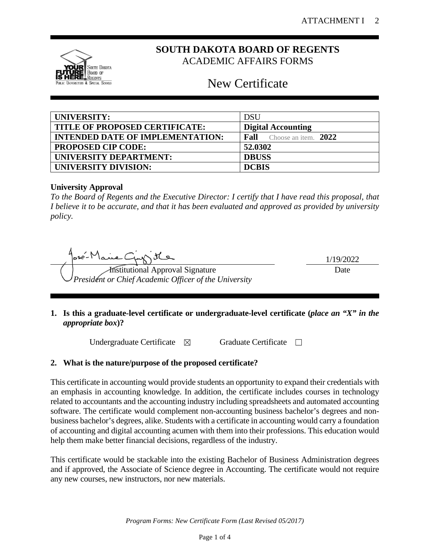

# **SOUTH DAKOTA BOARD OF REGENTS** ACADEMIC AFFAIRS FORMS

# New Certificate

| UNIVERSITY:                             | <b>DSU</b>                       |
|-----------------------------------------|----------------------------------|
| TITLE OF PROPOSED CERTIFICATE:          | <b>Digital Accounting</b>        |
| <b>INTENDED DATE OF IMPLEMENTATION:</b> | <b>Fall</b> Choose an item. 2022 |
| <b>PROPOSED CIP CODE:</b>               | 52.0302                          |
| UNIVERSITY DEPARTMENT:                  | <b>DBUSS</b>                     |
| <b>UNIVERSITY DIVISION:</b>             | <b>DCBIS</b>                     |

# **University Approval**

*To the Board of Regents and the Executive Director: I certify that I have read this proposal, that I believe it to be accurate, and that it has been evaluated and approved as provided by university policy.*

1/19/2022 Our Ste *President or Chief Academic Officer of the University* Date

**1. Is this a graduate-level certificate or undergraduate-level certificate (***place an "X" in the appropriate box***)?**

Undergraduate Certificate ⊠ Graduate Certificate □

# **2. What is the nature/purpose of the proposed certificate?**

This certificate in accounting would provide students an opportunity to expand their credentials with an emphasis in accounting knowledge. In addition, the certificate includes courses in technology related to accountants and the accounting industry including spreadsheets and automated accounting software. The certificate would complement non-accounting business bachelor's degrees and nonbusiness bachelor's degrees, alike. Students with a certificate in accounting would carry a foundation of accounting and digital accounting acumen with them into their professions. This education would help them make better financial decisions, regardless of the industry.

This certificate would be stackable into the existing Bachelor of Business Administration degrees and if approved, the Associate of Science degree in Accounting. The certificate would not require any new courses, new instructors, nor new materials.

*Program Forms: New Certificate Form (Last Revised 05/2017)*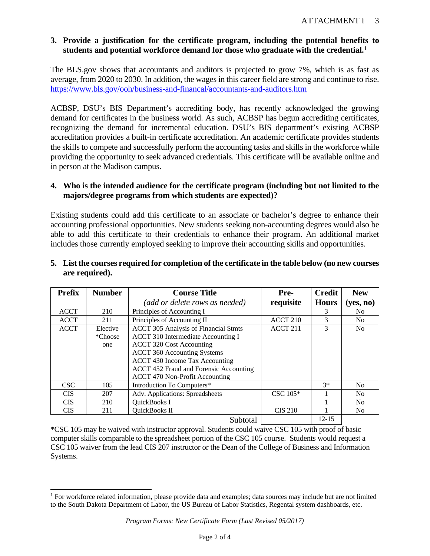# **3. Provide a justification for the certificate program, including the potential benefits to students and potential workforce demand for those who graduate with the credential. [1](#page-2-0)**

The BLS.gov shows that accountants and auditors is projected to grow 7%, which is as fast as average, from 2020 to 2030. In addition, the wages in this career field are strong and continue to rise. <https://www.bls.gov/ooh/business-and-financal/accountants-and-auditors.htm>

ACBSP, DSU's BIS Department's accrediting body, has recently acknowledged the growing demand for certificates in the business world. As such, ACBSP has begun accrediting certificates, recognizing the demand for incremental education. DSU's BIS department's existing ACBSP accreditation provides a built-in certificate accreditation. An academic certificate provides students the skills to compete and successfully perform the accounting tasks and skills in the workforce while providing the opportunity to seek advanced credentials. This certificate will be available online and in person at the Madison campus.

## **4. Who is the intended audience for the certificate program (including but not limited to the majors/degree programs from which students are expected)?**

Existing students could add this certificate to an associate or bachelor's degree to enhance their accounting professional opportunities. New students seeking non-accounting degrees would also be able to add this certificate to their credentials to enhance their program. An additional market includes those currently employed seeking to improve their accounting skills and opportunities.

#### **Prefix** | **Number** | **Course Title** *(add or delete rows as needed)* **Prerequisite Credit Hours New (yes, no)** ACCT 210 Principles of Accounting I 3 No ACCT | 211 | Principles of Accounting II | ACCT 210 | 3 | No ACCT Elective \*Choose one ACCT 305 Analysis of Financial Stmts ACCT 310 Intermediate Accounting I ACCT 320 Cost Accounting ACCT 360 Accounting Systems  $ACCT 211$  3 No

ACCT 430 Income Tax Accounting ACCT 452 Fraud and Forensic Accounting

ACCT 470 Non-Profit Accounting

# **5. List the courses required for completion of the certificate in the table below (no new courses are required).**

\*CSC 105 may be waived with instructor approval. Students could waive CSC 105 with proof of basic computer skills comparable to the spreadsheet portion of the CSC 105 course. Students would request a CSC 105 waiver from the lead CIS 207 instructor or the Dean of the College of Business and Information Systems.

Subtotal 12-15

CSC 105 Introduction To Computers\* 1 3\* No CIS | 207 | Adv. Applications: Spreadsheets | CSC 105\* | 1 | No CIS 210 QuickBooks I 1 No<br>
CIS 211 QuickBooks II CIS 210 1 No CIS | 211 | QuickBooks II | CIS 210 | 1 | No

<span id="page-2-0"></span><sup>1</sup> For workforce related information, please provide data and examples; data sources may include but are not limited to the South Dakota Department of Labor, the US Bureau of Labor Statistics, Regental system dashboards, etc.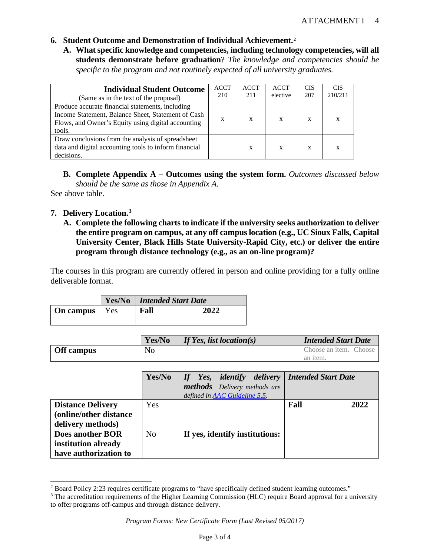- **6. Student Outcome and Demonstration of Individual Achievement.[2](#page-3-0)**
	- **A. What specific knowledge and competencies, including technology competencies, will all students demonstrate before graduation**? *The knowledge and competencies should be specific to the program and not routinely expected of all university graduates.*

| <b>Individual Student Outcome</b><br>(Same as in the text of the proposal)                                                                                             | <b>ACCT</b><br>210 | <b>ACCT</b><br>211 | <b>ACCT</b><br>elective | <b>CIS</b><br>207 | <b>CIS</b><br>210/211 |
|------------------------------------------------------------------------------------------------------------------------------------------------------------------------|--------------------|--------------------|-------------------------|-------------------|-----------------------|
| Produce accurate financial statements, including<br>Income Statement, Balance Sheet, Statement of Cash<br>Flows, and Owner's Equity using digital accounting<br>tools. | X                  | X                  | X                       | X                 | X                     |
| Draw conclusions from the analysis of spreadsheet<br>data and digital accounting tools to inform financial<br>decisions.                                               |                    | X                  | X                       | X                 | X                     |

**B. Complete Appendix A – Outcomes using the system form.** *Outcomes discussed below should be the same as those in Appendix A.* 

See above table.

# **7. Delivery Location. [3](#page-3-1)**

**A. Complete the following charts to indicate if the university seeks authorization to deliver the entire program on campus, at any off campus location (e.g., UC Sioux Falls, Capital University Center, Black Hills State University-Rapid City, etc.) or deliver the entire program through distance technology (e.g., as an on-line program)?**

The courses in this program are currently offered in person and online providing for a fully online deliverable format.

|                        | <b>Yes/No</b>   Intended Start Date |      |  |
|------------------------|-------------------------------------|------|--|
| <b>On campus</b>   Yes | Fall                                | 2022 |  |

|                   | Yes/No | <i>If Yes, list location(s)</i> | <b>Intended Start Date</b> |
|-------------------|--------|---------------------------------|----------------------------|
| <b>Off</b> campus | No     |                                 | Choose an item. Choose     |
|                   |        |                                 | an <i>item</i> .           |

|                                                                          | Yes/No         | If Yes, identify delivery   Intended Start Date<br>methods Delivery methods are<br>defined in AAC Guideline 5.5. |              |
|--------------------------------------------------------------------------|----------------|------------------------------------------------------------------------------------------------------------------|--------------|
| <b>Distance Delivery</b><br>(online/other distance)<br>delivery methods) | <b>Yes</b>     |                                                                                                                  | Fall<br>2022 |
| Does another BOR<br>institution already<br>have authorization to         | N <sub>0</sub> | If yes, identify institutions:                                                                                   |              |

<span id="page-3-0"></span><sup>&</sup>lt;sup>2</sup> Board Policy 2:23 requires certificate programs to "have specifically defined student learning outcomes."

<span id="page-3-1"></span><sup>&</sup>lt;sup>3</sup> The accreditation requirements of the Higher Learning Commission (HLC) require Board approval for a university to offer programs off-campus and through distance delivery.